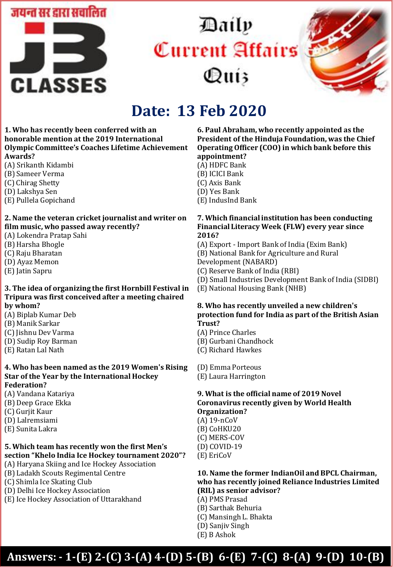

# Daily Current Affairs Qui3



## **Date: 13 Feb 2020**

#### **1. Who has recently been conferred with an honorable mention at the 2019 International Olympic Committee's Coaches Lifetime Achievement Awards?**

- (A) Srikanth Kidambi
- (B) Sameer Verma
- (C) Chirag Shetty
- (D) Lakshya Sen
- (E) Pullela Gopichand

#### **2. Name the veteran cricket journalist and writer on film music, who passed away recently?**

- (A) Lokendra Pratap Sahi
- (B) Harsha Bhogle
- (C) Raju Bharatan
- (D) Ayaz Memon
- (E) Jatin Sapru

#### **3. The idea of organizing the first Hornbill Festival in Tripura was first conceived after a meeting chaired by whom?**

- (A) Biplab Kumar Deb
- (B) Manik Sarkar
- (C) Jishnu Dev Varma
- (D) Sudip Roy Barman
- (E) Ratan Lal Nath

#### **4. Who has been named as the 2019 Women's Rising Star of the Year by the International Hockey Federation?**

- (A) Vandana Katariya
- (B) Deep Grace Ekka
- (C) Gurjit Kaur
- (D) Lalremsiami
- (E) Sunita Lakra

#### **5. Which team has recently won the first Men's section "Khelo India Ice Hockey tournament 2020"?**

- (A) Haryana Skiing and Ice Hockey Association
- (B) Ladakh Scouts Regimental Centre
- (C) Shimla Ice Skating Club
- (D) Delhi Ice Hockey Association
- (E) Ice Hockey Association of Uttarakhand

#### **6. Paul Abraham, who recently appointed as the President of the Hinduja Foundation, was the Chief Operating Officer (COO) in which bank before this appointment?**

- (A) HDFC Bank
- (B) ICICI Bank
- (C) Axis Bank
- (D) Yes Bank
- (E) IndusInd Bank

#### **7. Which financial institution has been conducting Financial Literacy Week (FLW) every year since 2016?**

(A) Export - Import Bank of India (Exim Bank) (B) National Bank for Agriculture and Rural Development (NABARD)

- (C) Reserve Bank of India (RBI)
- (D) Small Industries Development Bank of India (SIDBI)
- (E) National Housing Bank (NHB)

### **8. Who has recently unveiled a new children's protection fund for India as part of the British Asian Trust?**

(A) Prince Charles

- (B) Gurbani Chandhock
- (C) Richard Hawkes

(D) Emma Porteous

(E) Laura Harrington

### **9. What is the official name of 2019 Novel Coronavirus recently given by World Health Organization?**

- (A) 19-nCoV (B) CoHKU20 (C) MERS-COV (D) COVID-19
- (E) EriCoV

#### **10. Name the former IndianOil and BPCL Chairman, who has recently joined Reliance Industries Limited (RIL) as senior advisor?**

- (A) PMS Prasad
- (B) Sarthak Behuria
- (C) Mansingh L. Bhakta
- (D) Sanjiv Singh
- (E) B Ashok

### **Answers: - 1-(E) 2-(C) 3-(A) 4-(D) 5-(B) 6-(E) 7-(C) 8-(A) 9-(D) 10-(B)**